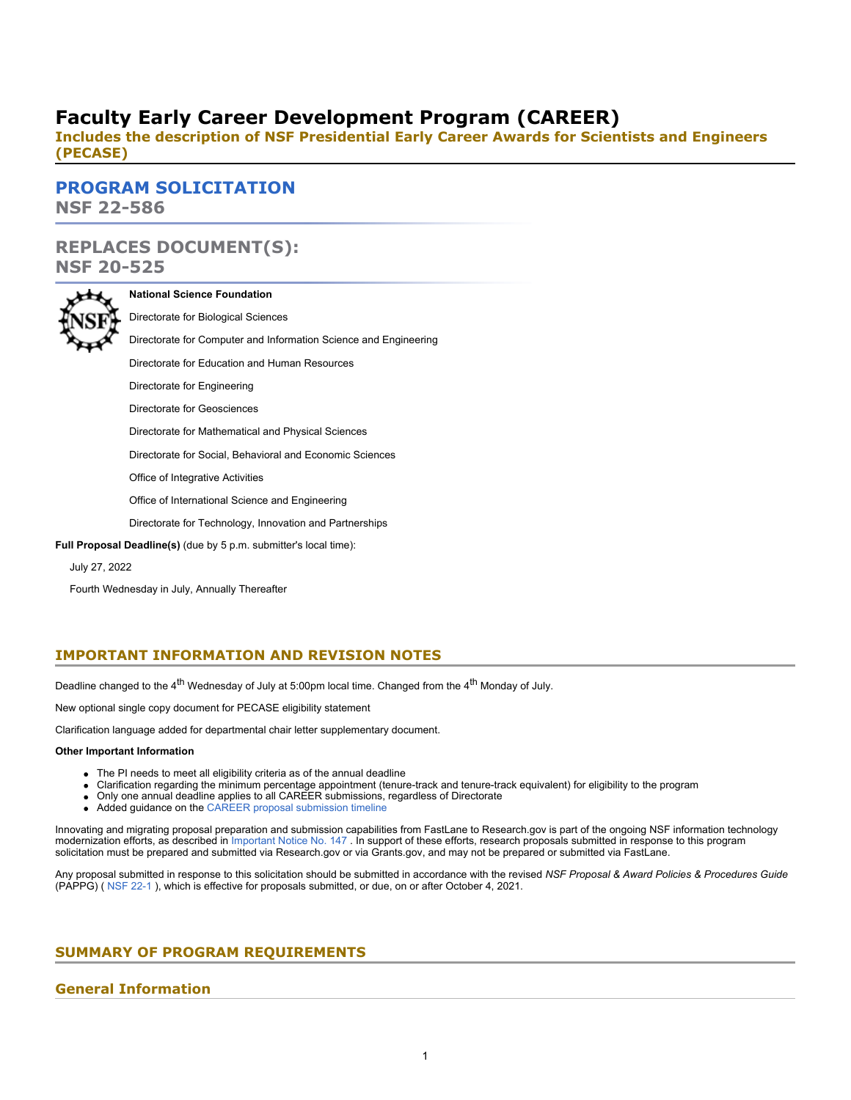# **Faculty Early Career Development Program (CAREER)**

**Includes the description of NSF Presidential Early Career Awards for Scientists and Engineers (PECASE)**

## **[PROGRAM SOLICITATION](#page-2-0)**

**NSF 22-586**

# **REPLACES DOCUMENT(S):**

**NSF 20-525**



Directorate for Biological Sciences

**National Science Foundation**

Directorate for Computer and Information Science and Engineering

Directorate for Education and Human Resources

Directorate for Engineering

Directorate for Geosciences

Directorate for Mathematical and Physical Sciences

Directorate for Social, Behavioral and Economic Sciences

Office of Integrative Activities

Office of International Science and Engineering

Directorate for Technology, Innovation and Partnerships

**Full Proposal Deadline(s)** (due by 5 p.m. submitter's local time):

July 27, 2022

Fourth Wednesday in July, Annually Thereafter

## **IMPORTANT INFORMATION AND REVISION NOTES**

Deadline changed to the 4<sup>th</sup> Wednesday of July at 5:00pm local time. Changed from the 4<sup>th</sup> Monday of July.

New optional single copy document for PECASE eligibility statement

Clarification language added for departmental chair letter supplementary document.

### **Other Important Information**

- The PI needs to meet all eligibility criteria as of the annual deadline
- Clarification regarding the minimum percentage appointment (tenure-track and tenure-track equivalent) for eligibility to the program
- Only one annual deadline applies to all CAREER submissions, regardless of Directorate
- Added guidance on the [CAREER proposal submission timeline](https://www.research.gov/common/attachment/Common/Career_deadline.pdf)

Innovating and migrating proposal preparation and submission capabilities from FastLane to Research.gov is part of the ongoing NSF information technology modernization efforts, as described in [Important Notice No. 147](https://www.nsf.gov/publications/pub_summ.jsp?ods_key=in147) . In support of these efforts, research proposals submitted in response to this program solicitation must be prepared and submitted via Research.gov or via Grants.gov, and may not be prepared or submitted via FastLane.

Any proposal submitted in response to this solicitation should be submitted in accordance with the revised *NSF Proposal & Award Policies & Procedures Guide* (PAPPG) ( [NSF 22-1](https://www.nsf.gov/publications/pub_summ.jsp?ods_key=nsf22001&org=NSF) ), which is effective for proposals submitted, or due, on or after October 4, 2021.

## <span id="page-0-0"></span>**SUMMARY OF PROGRAM REQUIREMENTS**

## **General Information**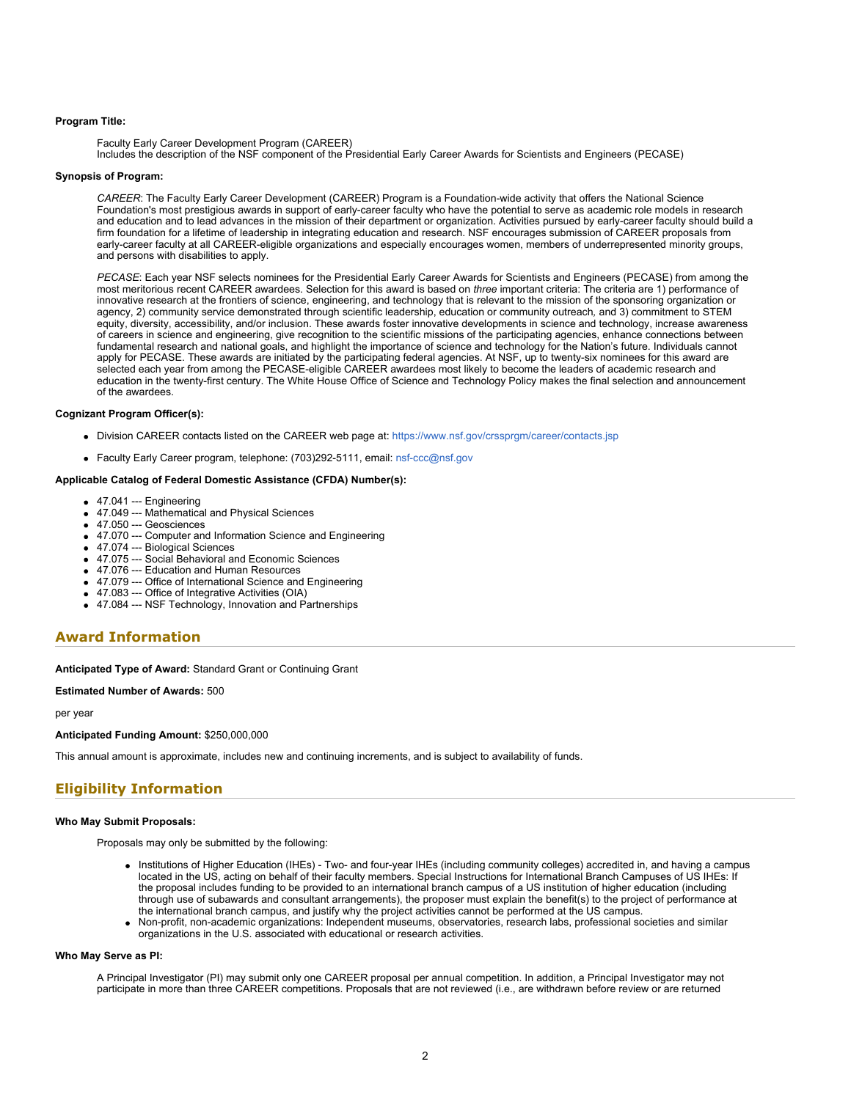### **Program Title:**

Faculty Early Career Development Program (CAREER) Includes the description of the NSF component of the Presidential Early Career Awards for Scientists and Engineers (PECASE)

### **Synopsis of Program:**

*CAREER*: The Faculty Early Career Development (CAREER) Program is a Foundation-wide activity that offers the National Science Foundation's most prestigious awards in support of early-career faculty who have the potential to serve as academic role models in research and education and to lead advances in the mission of their department or organization. Activities pursued by early-career faculty should build a firm foundation for a lifetime of leadership in integrating education and research. NSF encourages submission of CAREER proposals from early-career faculty at all CAREER-eligible organizations and especially encourages women, members of underrepresented minority groups, and persons with disabilities to apply.

*PECASE*: Each year NSF selects nominees for the Presidential Early Career Awards for Scientists and Engineers (PECASE) from among the most meritorious recent CAREER awardees. Selection for this award is based on *three* important criteria: The criteria are 1) performance of innovative research at the frontiers of science, engineering, and technology that is relevant to the mission of the sponsoring organization or agency, 2) community service demonstrated through scientific leadership, education or community outreach*,* and 3) commitment to STEM equity, diversity, accessibility, and/or inclusion. These awards foster innovative developments in science and technology, increase awareness of careers in science and engineering, give recognition to the scientific missions of the participating agencies, enhance connections between fundamental research and national goals, and highlight the importance of science and technology for the Nation's future. Individuals cannot apply for PECASE. These awards are initiated by the participating federal agencies. At NSF, up to twenty-six nominees for this award are selected each year from among the PECASE-eligible CAREER awardees most likely to become the leaders of academic research and education in the twenty-first century. The White House Office of Science and Technology Policy makes the final selection and announcement of the awardees.

### **Cognizant Program Officer(s):**

- Division CAREER contacts listed on the CAREER web page at:<https://www.nsf.gov/crssprgm/career/contacts.jsp>
- Faculty Early Career program, telephone: (703)292-5111, email: [nsf-ccc@nsf.gov](mailto:nsf-ccc@nsf.gov)

### **Applicable Catalog of Federal Domestic Assistance (CFDA) Number(s):**

- 47.041 --- Engineering
- 47.049 --- Mathematical and Physical Sciences
- 47.050 --- Geosciences
- 47.070 --- Computer and Information Science and Engineering
- 47.074 --- Biological Sciences
- 47.075 --- Social Behavioral and Economic Sciences
- 47.076 --- Education and Human Resources
- 47.079 --- Office of International Science and Engineering 47.083 --- Office of Integrative Activities (OIA)
- 47.084 --- NSF Technology, Innovation and Partnerships

### **Award Information**

**Anticipated Type of Award:** Standard Grant or Continuing Grant

**Estimated Number of Awards:** 500

#### per year

**Anticipated Funding Amount:** \$250,000,000

This annual amount is approximate, includes new and continuing increments, and is subject to availability of funds.

### **Eligibility Information**

### **Who May Submit Proposals:**

Proposals may only be submitted by the following:

- Institutions of Higher Education (IHEs) Two- and four-year IHEs (including community colleges) accredited in, and having a campus located in the US, acting on behalf of their faculty members. Special Instructions for International Branch Campuses of US IHEs: If the proposal includes funding to be provided to an international branch campus of a US institution of higher education (including through use of subawards and consultant arrangements), the proposer must explain the benefit(s) to the project of performance at the international branch campus, and justify why the project activities cannot be performed at the US campus.
- Non-profit, non-academic organizations: Independent museums, observatories, research labs, professional societies and similar organizations in the U.S. associated with educational or research activities.

### **Who May Serve as PI:**

A Principal Investigator (PI) may submit only one CAREER proposal per annual competition. In addition, a Principal Investigator may not participate in more than three CAREER competitions. Proposals that are not reviewed (i.e., are withdrawn before review or are returned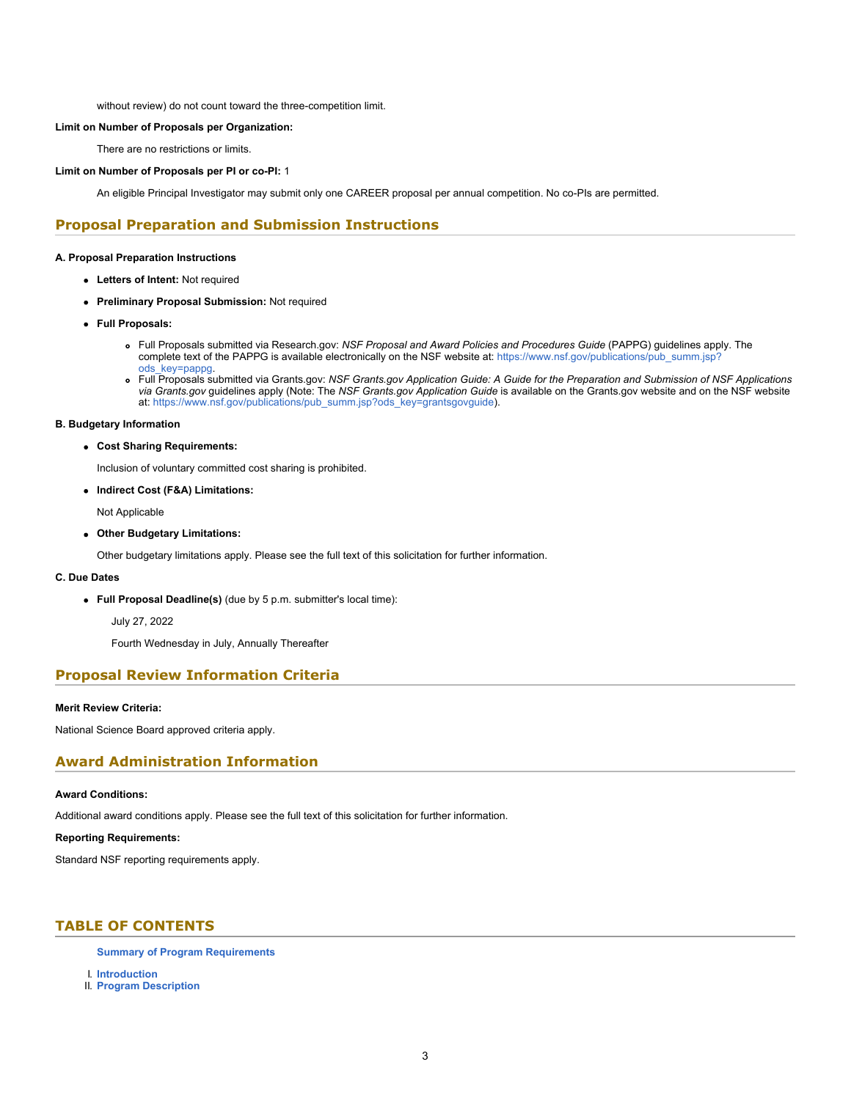without review) do not count toward the three-competition limit.

### **Limit on Number of Proposals per Organization:**

There are no restrictions or limits.

### **Limit on Number of Proposals per PI or co-PI:** 1

An eligible Principal Investigator may submit only one CAREER proposal per annual competition. No co-PIs are permitted.

### **Proposal Preparation and Submission Instructions**

### **A. Proposal Preparation Instructions**

- **Letters of Intent:** Not required
- **Preliminary Proposal Submission:** Not required
- **Full Proposals:**
	- Full Proposals submitted via Research.gov: *NSF Proposal and Award Policies and Procedures Guide* (PAPPG) guidelines apply. The complete text of the PAPPG is available electronically on the NSF website at: [https://www.nsf.gov/publications/pub\\_summ.jsp?](https://www.nsf.gov/publications/pub_summ.jsp?ods_key=pappg) [ods\\_key=pappg.](https://www.nsf.gov/publications/pub_summ.jsp?ods_key=pappg)
	- Full Proposals submitted via Grants.gov: *NSF Grants.gov Application Guide: A Guide for the Preparation and Submission of NSF Applications via Grants.gov* guidelines apply (Note: The *NSF Grants.gov Application Guide* is available on the Grants.gov website and on the NSF website at: [https://www.nsf.gov/publications/pub\\_summ.jsp?ods\\_key=grantsgovguide](https://www.nsf.gov/publications/pub_summ.jsp?ods_key=grantsgovguide)).

### **B. Budgetary Information**

### **Cost Sharing Requirements:**

Inclusion of voluntary committed cost sharing is prohibited.

**Indirect Cost (F&A) Limitations:**

Not Applicable

**Other Budgetary Limitations:**

Other budgetary limitations apply. Please see the full text of this solicitation for further information.

### **C. Due Dates**

**Full Proposal Deadline(s)** (due by 5 p.m. submitter's local time):

July 27, 2022

Fourth Wednesday in July, Annually Thereafter

### **Proposal Review Information Criteria**

### **Merit Review Criteria:**

National Science Board approved criteria apply.

### **Award Administration Information**

### **Award Conditions:**

Additional award conditions apply. Please see the full text of this solicitation for further information.

### **Reporting Requirements:**

Standard NSF reporting requirements apply.

### <span id="page-2-0"></span>**TABLE OF CONTENTS**

**[Summary of Program Requirements](#page-0-0)**

I. **[Introduction](#page-3-0)**

II. **[Program Description](#page-3-1)**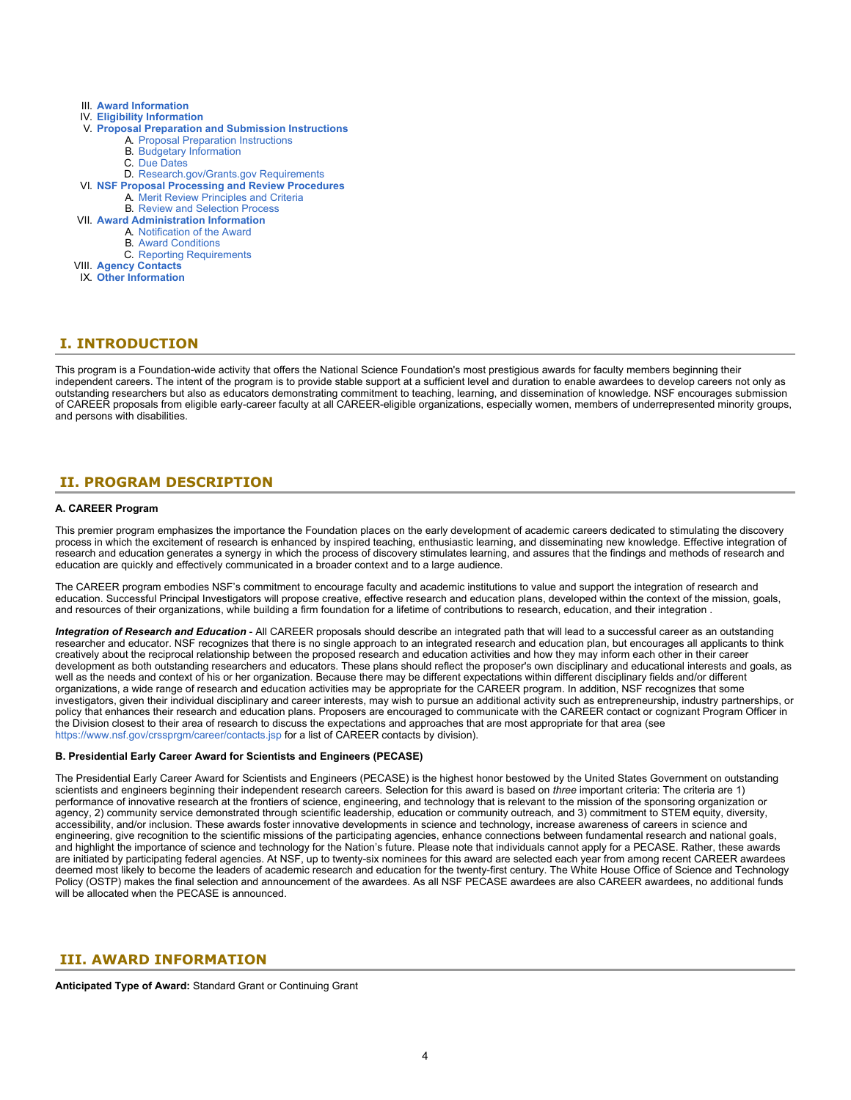- III. **[Award Information](#page-3-2)**
- IV. **[Eligibility Information](#page-4-0)**
- V. **[Proposal Preparation and Submission Instructions](#page-5-0)**
	- A. [Proposal Preparation Instructions](#page-5-0) B. [Budgetary Information](#page-7-0)
	-
	- C. [Due Dates](#page-8-0)
	- D. [Research.gov/Grants.gov Requirements](#page-8-1)
- VI. **[NSF Proposal Processing and Review Procedures](#page-8-2)**
	- A. [Merit Review Principles and Criteria](#page-9-0) B. [Review and Selection Process](#page-10-0)
- VII. **[Award Administration Information](#page-10-1)**
	- A. [Notification of the Award](#page-10-2)
	- B. [Award Conditions](#page-10-3)
	- C. [Reporting Requirements](#page-11-0)
- VIII. **[Agency Contacts](#page-11-1)**
- IX. **[Other Information](#page-11-2)**

## <span id="page-3-0"></span>**I. INTRODUCTION**

This program is a Foundation-wide activity that offers the National Science Foundation's most prestigious awards for faculty members beginning their independent careers. The intent of the program is to provide stable support at a sufficient level and duration to enable awardees to develop careers not only as outstanding researchers but also as educators demonstrating commitment to teaching, learning, and dissemination of knowledge. NSF encourages submission of CAREER proposals from eligible early-career faculty at all CAREER-eligible organizations, especially women, members of underrepresented minority groups, and persons with disabilities.

## <span id="page-3-1"></span>**II. PROGRAM DESCRIPTION**

### **A. CAREER Program**

This premier program emphasizes the importance the Foundation places on the early development of academic careers dedicated to stimulating the discovery process in which the excitement of research is enhanced by inspired teaching, enthusiastic learning, and disseminating new knowledge. Effective integration of research and education generates a synergy in which the process of discovery stimulates learning, and assures that the findings and methods of research and education are quickly and effectively communicated in a broader context and to a large audience.

The CAREER program embodies NSF's commitment to encourage faculty and academic institutions to value and support the integration of research and education. Successful Principal Investigators will propose creative, effective research and education plans, developed within the context of the mission, goals, and resources of their organizations, while building a firm foundation for a lifetime of contributions to research, education, and their integration .

*Integration of Research and Education* - All CAREER proposals should describe an integrated path that will lead to a successful career as an outstanding researcher and educator. NSF recognizes that there is no single approach to an integrated research and education plan, but encourages all applicants to think creatively about the reciprocal relationship between the proposed research and education activities and how they may inform each other in their career development as both outstanding researchers and educators. These plans should reflect the proposer's own disciplinary and educational interests and goals, as well as the needs and context of his or her organization. Because there may be different expectations within different disciplinary fields and/or different organizations, a wide range of research and education activities may be appropriate for the CAREER program. In addition, NSF recognizes that some investigators, given their individual disciplinary and career interests, may wish to pursue an additional activity such as entrepreneurship, industry partnerships, or policy that enhances their research and education plans. Proposers are encouraged to communicate with the CAREER contact or cognizant Program Officer in the Division closest to their area of research to discuss the expectations and approaches that are most appropriate for that area (see <https://www.nsf.gov/crssprgm/career/contacts.jsp>for a list of CAREER contacts by division).

### **B. Presidential Early Career Award for Scientists and Engineers (PECASE)**

The Presidential Early Career Award for Scientists and Engineers (PECASE) is the highest honor bestowed by the United States Government on outstanding scientists and engineers beginning their independent research careers. Selection for this award is based on *three* important criteria: The criteria are 1) performance of innovative research at the frontiers of science, engineering, and technology that is relevant to the mission of the sponsoring organization or agency, 2) community service demonstrated through scientific leadership, education or community outreach*,* and 3) commitment to STEM equity, diversity, accessibility, and/or inclusion. These awards foster innovative developments in science and technology, increase awareness of careers in science and engineering, give recognition to the scientific missions of the participating agencies, enhance connections between fundamental research and national goals, and highlight the importance of science and technology for the Nation's future. Please note that individuals cannot apply for a PECASE. Rather, these awards are initiated by participating federal agencies. At NSF, up to twenty-six nominees for this award are selected each year from among recent CAREER awardees deemed most likely to become the leaders of academic research and education for the twenty-first century. The White House Office of Science and Technology Policy (OSTP) makes the final selection and announcement of the awardees. As all NSF PECASE awardees are also CAREER awardees, no additional funds will be allocated when the PECASE is announced.

### <span id="page-3-2"></span>**III. AWARD INFORMATION**

**Anticipated Type of Award:** Standard Grant or Continuing Grant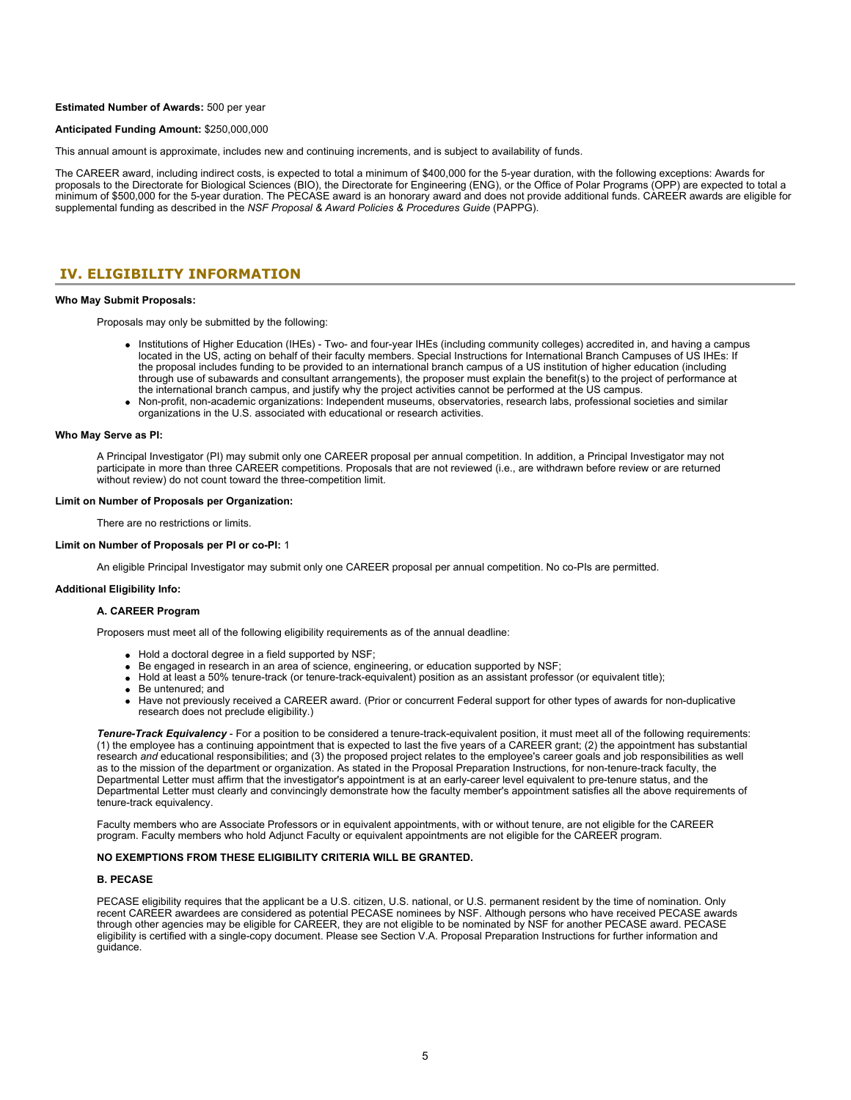### **Estimated Number of Awards:** 500 per year

### **Anticipated Funding Amount:** \$250,000,000

This annual amount is approximate, includes new and continuing increments, and is subject to availability of funds.

The CAREER award, including indirect costs, is expected to total a minimum of \$400,000 for the 5-year duration, with the following exceptions: Awards for proposals to the Directorate for Biological Sciences (BIO), the Directorate for Engineering (ENG), or the Office of Polar Programs (OPP) are expected to total a minimum of \$500,000 for the 5-year duration. The PECASE award is an honorary award and does not provide additional funds. CAREER awards are eligible for supplemental funding as described in the *NSF Proposal & Award Policies & Procedures Guide* (PAPPG).

### <span id="page-4-0"></span>**IV. ELIGIBILITY INFORMATION**

### **Who May Submit Proposals:**

Proposals may only be submitted by the following:

- Institutions of Higher Education (IHEs) Two- and four-year IHEs (including community colleges) accredited in, and having a campus located in the US, acting on behalf of their faculty members. Special Instructions for International Branch Campuses of US IHEs: If the proposal includes funding to be provided to an international branch campus of a US institution of higher education (including through use of subawards and consultant arrangements), the proposer must explain the benefit(s) to the project of performance at the international branch campus, and justify why the project activities cannot be performed at the US campus.
- Non-profit, non-academic organizations: Independent museums, observatories, research labs, professional societies and similar organizations in the U.S. associated with educational or research activities.

#### **Who May Serve as PI:**

A Principal Investigator (PI) may submit only one CAREER proposal per annual competition. In addition, a Principal Investigator may not participate in more than three CAREER competitions. Proposals that are not reviewed (i.e., are withdrawn before review or are returned without review) do not count toward the three-competition limit.

#### **Limit on Number of Proposals per Organization:**

There are no restrictions or limits.

#### **Limit on Number of Proposals per PI or co-PI:** 1

An eligible Principal Investigator may submit only one CAREER proposal per annual competition. No co-PIs are permitted.

#### **Additional Eligibility Info:**

#### **A. CAREER Program**

Proposers must meet all of the following eligibility requirements as of the annual deadline:

- Hold a doctoral degree in a field supported by NSF;
- Be engaged in research in an area of science, engineering, or education supported by NSF;
- Hold at least a 50% tenure-track (or tenure-track-equivalent) position as an assistant professor (or equivalent title);
- Be untenured: and
- Have not previously received a CAREER award. (Prior or concurrent Federal support for other types of awards for non-duplicative research does not preclude eligibility.)

*Tenure-Track Equivalency* - For a position to be considered a tenure-track-equivalent position, it must meet all of the following requirements: (1) the employee has a continuing appointment that is expected to last the five years of a CAREER grant; (2) the appointment has substantial research *and* educational responsibilities; and (3) the proposed project relates to the employee's career goals and job responsibilities as well as to the mission of the department or organization. As stated in the Proposal Preparation Instructions, for non-tenure-track faculty, the Departmental Letter must affirm that the investigator's appointment is at an early-career level equivalent to pre-tenure status, and the Departmental Letter must clearly and convincingly demonstrate how the faculty member's appointment satisfies all the above requirements of tenure-track equivalency.

Faculty members who are Associate Professors or in equivalent appointments, with or without tenure, are not eligible for the CAREER program. Faculty members who hold Adjunct Faculty or equivalent appointments are not eligible for the CAREER program.

### **NO EXEMPTIONS FROM THESE ELIGIBILITY CRITERIA WILL BE GRANTED.**

### **B. PECASE**

PECASE eligibility requires that the applicant be a U.S. citizen, U.S. national, or U.S. permanent resident by the time of nomination. Only recent CAREER awardees are considered as potential PECASE nominees by NSF. Although persons who have received PECASE awards through other agencies may be eligible for CAREER, they are not eligible to be nominated by NSF for another PECASE award. PECASE eligibility is certified with a single-copy document. Please see Section V.A. Proposal Preparation Instructions for further information and guidance.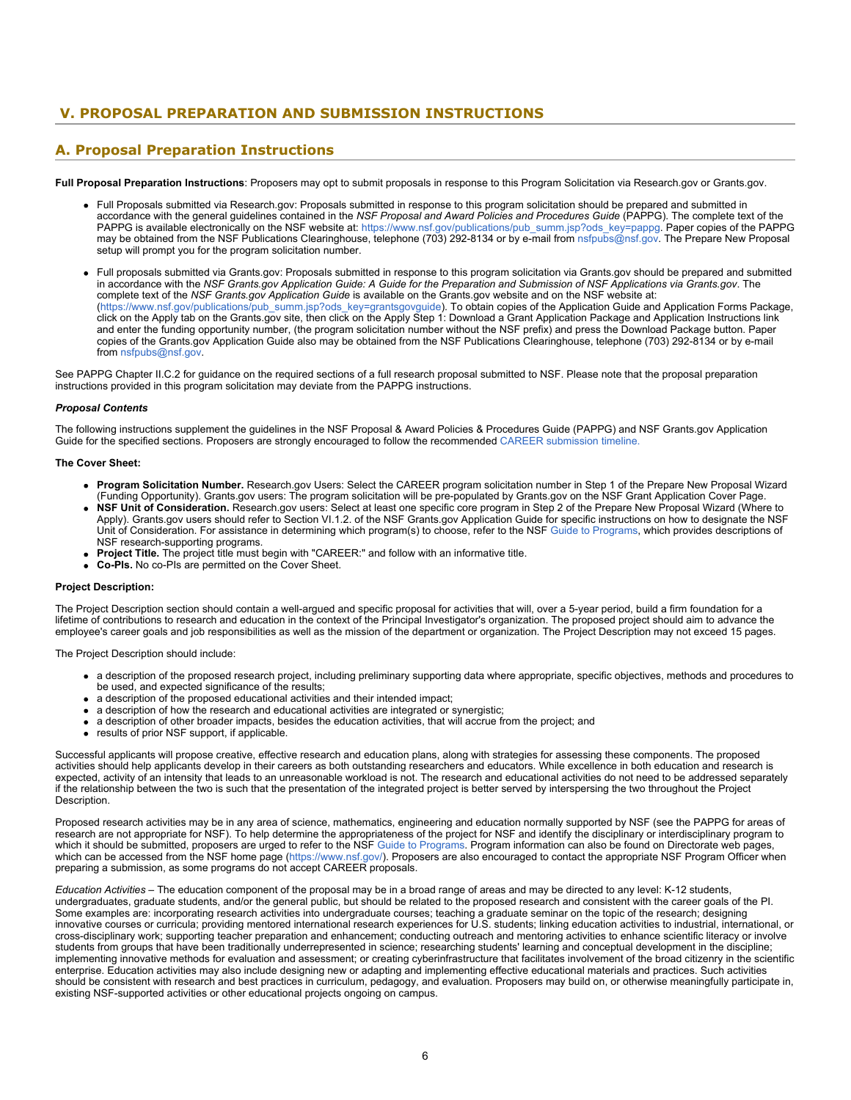## <span id="page-5-0"></span>**V. PROPOSAL PREPARATION AND SUBMISSION INSTRUCTIONS**

## **A. Proposal Preparation Instructions**

**Full Proposal Preparation Instructions**: Proposers may opt to submit proposals in response to this Program Solicitation via Research.gov or Grants.gov.

- Full Proposals submitted via Research.gov: Proposals submitted in response to this program solicitation should be prepared and submitted in accordance with the general guidelines contained in the *NSF Proposal and Award Policies and Procedures Guide* (PAPPG). The complete text of the PAPPG is available electronically on the NSF website at: [https://www.nsf.gov/publications/pub\\_summ.jsp?ods\\_key=pappg](https://www.nsf.gov/publications/pub_summ.jsp?ods_key=pappg). Paper copies of the PAPPG may be obtained from the NSF Publications Clearinghouse, telephone (703) 292-8134 or by e-mail from [nsfpubs@nsf.gov.](mailto:nsfpubs@nsf.gov) The Prepare New Proposal setup will prompt you for the program solicitation number.
- Full proposals submitted via Grants.gov: Proposals submitted in response to this program solicitation via Grants.gov should be prepared and submitted in accordance with the *NSF Grants.gov Application Guide: A Guide for the Preparation and Submission of NSF Applications via Grants.gov*. The complete text of the *NSF Grants.gov Application Guide* is available on the Grants.gov website and on the NSF website at: [\(https://www.nsf.gov/publications/pub\\_summ.jsp?ods\\_key=grantsgovguide](https://www.nsf.gov/publications/pub_summ.jsp?ods_key=grantsgovguide)). To obtain copies of the Application Guide and Application Forms Package, click on the Apply tab on the Grants.gov site, then click on the Apply Step 1: Download a Grant Application Package and Application Instructions link and enter the funding opportunity number, (the program solicitation number without the NSF prefix) and press the Download Package button. Paper copies of the Grants.gov Application Guide also may be obtained from the NSF Publications Clearinghouse, telephone (703) 292-8134 or by e-mail from [nsfpubs@nsf.gov](mailto:nsfpubs@nsf.gov).

See PAPPG Chapter II.C.2 for guidance on the required sections of a full research proposal submitted to NSF. Please note that the proposal preparation instructions provided in this program solicitation may deviate from the PAPPG instructions.

### *Proposal Contents*

The following instructions supplement the guidelines in the NSF Proposal & Award Policies & Procedures Guide (PAPPG) and NSF Grants.gov Application Guide for the specified sections. Proposers are strongly encouraged to follow the recommended [CAREER submission timeline.](https://www.research.gov/common/attachment/Common/Career_deadline.pdf)

#### **The Cover Sheet:**

- **Program Solicitation Number.** Research.gov Users: Select the CAREER program solicitation number in Step 1 of the Prepare New Proposal Wizard (Funding Opportunity). Grants.gov users: The program solicitation will be pre-populated by Grants.gov on the NSF Grant Application Cover Page.
- **NSF Unit of Consideration.** Research.gov users: Select at least one specific core program in Step 2 of the Prepare New Proposal Wizard (Where to Apply). Grants.gov users should refer to Section VI.1.2. of the NSF Grants.gov Application Guide for specific instructions on how to designate the NSF Unit of Consideration. For assistance in determining which program(s) to choose, refer to the NSF [Guide to Programs](https://www.nsf.gov/funding/browse_all_funding.jsp), which provides descriptions of NSF research-supporting programs.
- **Project Title.** The project title must begin with "CAREER:" and follow with an informative title.
- **Co-PIs.** No co-PIs are permitted on the Cover Sheet.

### **Project Description:**

The Project Description section should contain a well-argued and specific proposal for activities that will, over a 5-year period, build a firm foundation for a lifetime of contributions to research and education in the context of the Principal Investigator's organization. The proposed project should aim to advance the employee's career goals and job responsibilities as well as the mission of the department or organization. The Project Description may not exceed 15 pages.

The Project Description should include:

- a description of the proposed research project, including preliminary supporting data where appropriate, specific objectives, methods and procedures to be used, and expected significance of the results;
- $\bullet$  a description of the proposed educational activities and their intended impact:
- a description of how the research and educational activities are integrated or synergistic;
- a description of other broader impacts, besides the education activities, that will accrue from the project; and
- results of prior NSF support, if applicable.

Successful applicants will propose creative, effective research and education plans, along with strategies for assessing these components. The proposed activities should help applicants develop in their careers as both outstanding researchers and educators. While excellence in both education and research is expected, activity of an intensity that leads to an unreasonable workload is not. The research and educational activities do not need to be addressed separately if the relationship between the two is such that the presentation of the integrated project is better served by interspersing the two throughout the Project **Description** 

Proposed research activities may be in any area of science, mathematics, engineering and education normally supported by NSF (see the PAPPG for areas of research are not appropriate for NSF). To help determine the appropriateness of the project for NSF and identify the disciplinary or interdisciplinary program to which it should be submitted, proposers are urged to refer to the NSF [Guide to Programs](https://www.nsf.gov/funding/browse_all_funding.jsp). Program information can also be found on Directorate web pages, which can be accessed from the NSF home page [\(https://www.nsf.gov/](https://www.nsf.gov/)). Proposers are also encouraged to contact the appropriate NSF Program Officer when preparing a submission, as some programs do not accept CAREER proposals.

*Education Activities* – The education component of the proposal may be in a broad range of areas and may be directed to any level: K-12 students, undergraduates, graduate students, and/or the general public, but should be related to the proposed research and consistent with the career goals of the PI. Some examples are: incorporating research activities into undergraduate courses; teaching a graduate seminar on the topic of the research; designing innovative courses or curricula; providing mentored international research experiences for U.S. students; linking education activities to industrial, international, or cross-disciplinary work; supporting teacher preparation and enhancement; conducting outreach and mentoring activities to enhance scientific literacy or involve students from groups that have been traditionally underrepresented in science; researching students' learning and conceptual development in the discipline; implementing innovative methods for evaluation and assessment; or creating cyberinfrastructure that facilitates involvement of the broad citizenry in the scientific enterprise. Education activities may also include designing new or adapting and implementing effective educational materials and practices. Such activities should be consistent with research and best practices in curriculum, pedagogy, and evaluation. Proposers may build on, or otherwise meaningfully participate in, existing NSF-supported activities or other educational projects ongoing on campus.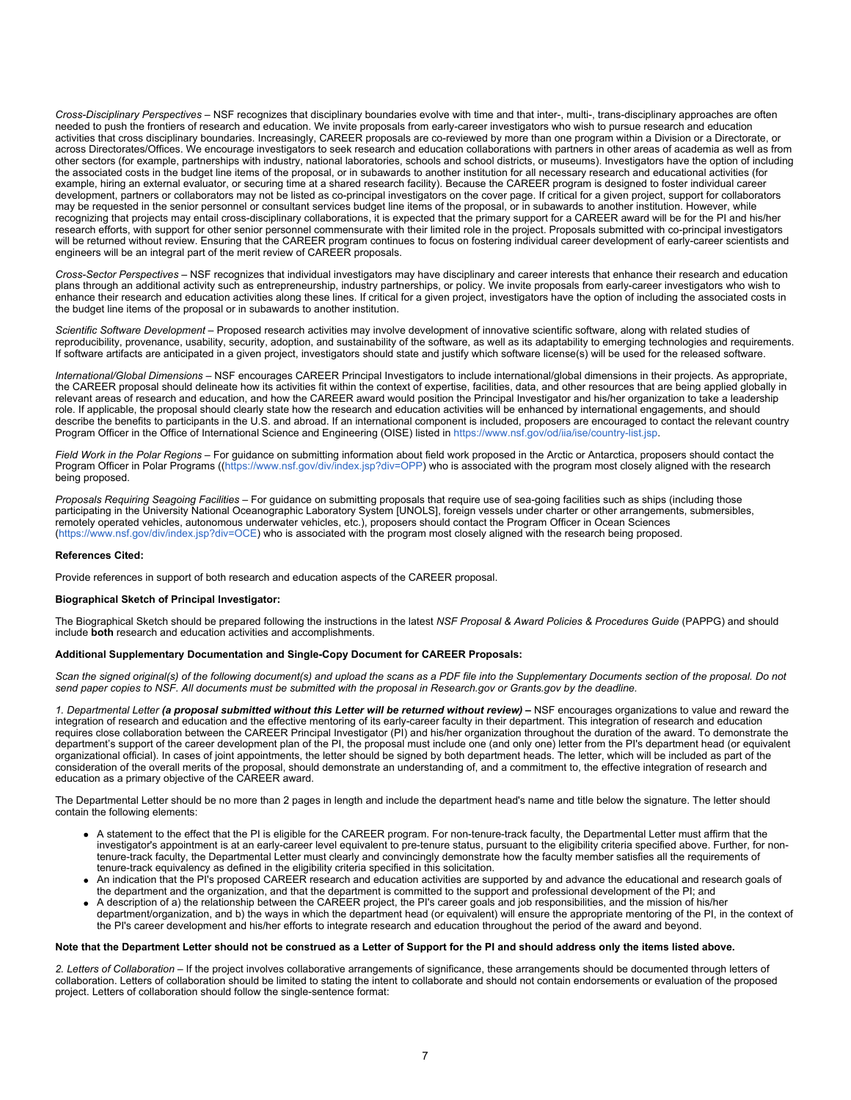*Cross-Disciplinary Perspectives* – NSF recognizes that disciplinary boundaries evolve with time and that inter-, multi-, trans-disciplinary approaches are often needed to push the frontiers of research and education. We invite proposals from early-career investigators who wish to pursue research and education activities that cross disciplinary boundaries. Increasingly, CAREER proposals are co-reviewed by more than one program within a Division or a Directorate, or across Directorates/Offices. We encourage investigators to seek research and education collaborations with partners in other areas of academia as well as from other sectors (for example, partnerships with industry, national laboratories, schools and school districts, or museums). Investigators have the option of including the associated costs in the budget line items of the proposal, or in subawards to another institution for all necessary research and educational activities (for example, hiring an external evaluator, or securing time at a shared research facility). Because the CAREER program is designed to foster individual career development, partners or collaborators may not be listed as co-principal investigators on the cover page. If critical for a given project, support for collaborators may be requested in the senior personnel or consultant services budget line items of the proposal, or in subawards to another institution. However, while recognizing that projects may entail cross-disciplinary collaborations, it is expected that the primary support for a CAREER award will be for the PI and his/her research efforts, with support for other senior personnel commensurate with their limited role in the project. Proposals submitted with co-principal investigators will be returned without review. Ensuring that the CAREER program continues to focus on fostering individual career development of early-career scientists and engineers will be an integral part of the merit review of CAREER proposals.

*Cross-Sector Perspectives* – NSF recognizes that individual investigators may have disciplinary and career interests that enhance their research and education plans through an additional activity such as entrepreneurship, industry partnerships, or policy. We invite proposals from early-career investigators who wish to enhance their research and education activities along these lines. If critical for a given project, investigators have the option of including the associated costs in the budget line items of the proposal or in subawards to another institution.

*Scientific Software Development* – Proposed research activities may involve development of innovative scientific software, along with related studies of reproducibility, provenance, usability, security, adoption, and sustainability of the software, as well as its adaptability to emerging technologies and requirements. If software artifacts are anticipated in a given project, investigators should state and justify which software license(s) will be used for the released software.

*International/Global Dimensions* – NSF encourages CAREER Principal Investigators to include international/global dimensions in their projects. As appropriate, the CAREER proposal should delineate how its activities fit within the context of expertise, facilities, data, and other resources that are being applied globally in relevant areas of research and education, and how the CAREER award would position the Principal Investigator and his/her organization to take a leadership role. If applicable, the proposal should clearly state how the research and education activities will be enhanced by international engagements, and should describe the benefits to participants in the U.S. and abroad. If an international component is included, proposers are encouraged to contact the relevant country Program Officer in the Office of International Science and Engineering (OISE) listed in<https://www.nsf.gov/od/iia/ise/country-list.jsp>.

*Field Work in the Polar Regions* – For guidance on submitting information about field work proposed in the Arctic or Antarctica, proposers should contact the Program Officer in Polar Programs ([\(https://www.nsf.gov/div/index.jsp?div=OPP](https://www.nsf.gov/div/index.jsp?div=OPP)) who is associated with the program most closely aligned with the research being proposed.

*Proposals Requiring Seagoing Facilities* – For guidance on submitting proposals that require use of sea-going facilities such as ships (including those participating in the University National Oceanographic Laboratory System [UNOLS], foreign vessels under charter or other arrangements, submersibles, remotely operated vehicles, autonomous underwater vehicles, etc.), proposers should contact the Program Officer in Ocean Sciences [\(https://www.nsf.gov/div/index.jsp?div=OCE](https://www.nsf.gov/div/index.jsp?div=OCE)) who is associated with the program most closely aligned with the research being proposed.

### **References Cited:**

Provide references in support of both research and education aspects of the CAREER proposal.

#### **Biographical Sketch of Principal Investigator:**

The Biographical Sketch should be prepared following the instructions in the latest *NSF Proposal & Award Policies & Procedures Guide* (PAPPG) and should include **both** research and education activities and accomplishments.

### **Additional Supplementary Documentation and Single-Copy Document for CAREER Proposals:**

*Scan the signed original(s) of the following document(s) and upload the scans as a PDF file into the Supplementary Documents section of the proposal. Do not send paper copies to NSF. All documents must be submitted with the proposal in Research.gov or Grants.gov by the deadline.*

1. Departmental Letter (a proposal submitted without this Letter will be returned without review) - NSF encourages organizations to value and reward the integration of research and education and the effective mentoring of its early-career faculty in their department. This integration of research and education requires close collaboration between the CAREER Principal Investigator (PI) and his/her organization throughout the duration of the award. To demonstrate the department's support of the career development plan of the PI, the proposal must include one (and only one) letter from the PI's department head (or equivalent organizational official). In cases of joint appointments, the letter should be signed by both department heads. The letter, which will be included as part of the consideration of the overall merits of the proposal, should demonstrate an understanding of, and a commitment to, the effective integration of research and education as a primary objective of the CAREER award.

The Departmental Letter should be no more than 2 pages in length and include the department head's name and title below the signature. The letter should contain the following elements:

- A statement to the effect that the PI is eligible for the CAREER program. For non-tenure-track faculty, the Departmental Letter must affirm that the investigator's appointment is at an early-career level equivalent to pre-tenure status, pursuant to the eligibility criteria specified above. Further, for nontenure-track faculty, the Departmental Letter must clearly and convincingly demonstrate how the faculty member satisfies all the requirements of tenure-track equivalency as defined in the eligibility criteria specified in this solicitation.
- An indication that the PI's proposed CAREER research and education activities are supported by and advance the educational and research goals of the department and the organization, and that the department is committed to the support and professional development of the PI; and
- A description of a) the relationship between the CAREER project, the PI's career goals and job responsibilities, and the mission of his/her department/organization, and b) the ways in which the department head (or equivalent) will ensure the appropriate mentoring of the PI, in the context of the PI's career development and his/her efforts to integrate research and education throughout the period of the award and beyond.

### **Note that the Department Letter should not be construed as a Letter of Support for the PI and should address only the items listed above.**

*2. Letters of Collaboration* – If the project involves collaborative arrangements of significance, these arrangements should be documented through letters of collaboration. Letters of collaboration should be limited to stating the intent to collaborate and should not contain endorsements or evaluation of the proposed project. Letters of collaboration should follow the single-sentence format: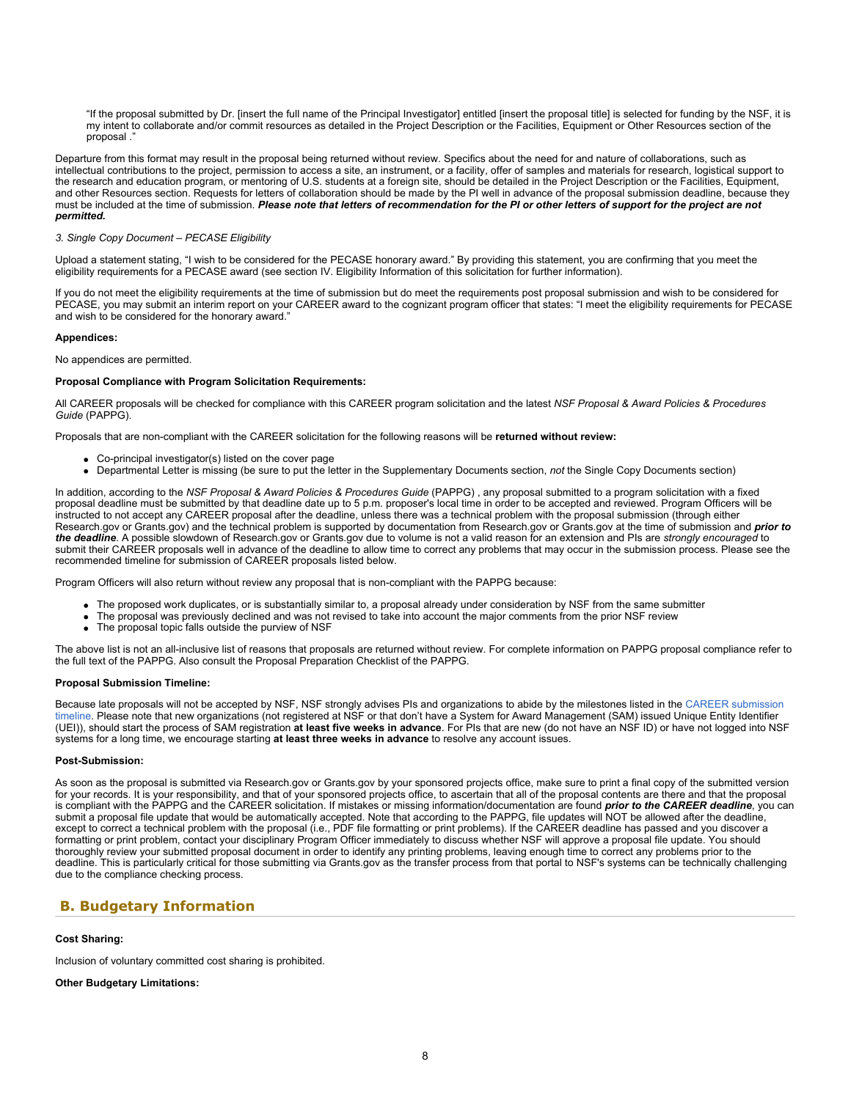"If the proposal submitted by Dr. [insert the full name of the Principal Investigator] entitled [insert the proposal title] is selected for funding by the NSF, it is my intent to collaborate and/or commit resources as detailed in the Project Description or the Facilities, Equipment or Other Resources section of the proposal ."

Departure from this format may result in the proposal being returned without review. Specifics about the need for and nature of collaborations, such as intellectual contributions to the project, permission to access a site, an instrument, or a facility, offer of samples and materials for research, logistical support to the research and education program, or mentoring of U.S. students at a foreign site, should be detailed in the Project Description or the Facilities, Equipment, and other Resources section. Requests for letters of collaboration should be made by the PI well in advance of the proposal submission deadline, because they must be included at the time of submission. *Please note that letters of recommendation for the PI or other letters of support for the project are not permitted.*

### *3. Single Copy Document – PECASE Eligibility*

Upload a statement stating, "I wish to be considered for the PECASE honorary award." By providing this statement, you are confirming that you meet the eligibility requirements for a PECASE award (see section IV. Eligibility Information of this solicitation for further information).

If you do not meet the eligibility requirements at the time of submission but do meet the requirements post proposal submission and wish to be considered for PECASE, you may submit an interim report on your CAREER award to the cognizant program officer that states: "I meet the eligibility requirements for PECASE and wish to be considered for the honorary award."

### **Appendices:**

No appendices are permitted.

### **Proposal Compliance with Program Solicitation Requirements:**

All CAREER proposals will be checked for compliance with this CAREER program solicitation and the latest *NSF Proposal & Award Policies & Procedures Guide* (PAPPG).

Proposals that are non-compliant with the CAREER solicitation for the following reasons will be **returned without review:**

- Co-principal investigator(s) listed on the cover page
- Departmental Letter is missing (be sure to put the letter in the Supplementary Documents section, *not* the Single Copy Documents section)

In addition, according to the *NSF Proposal & Award Policies & Procedures Guide* (PAPPG) , any proposal submitted to a program solicitation with a fixed proposal deadline must be submitted by that deadline date up to 5 p.m. proposer's local time in order to be accepted and reviewed. Program Officers will be instructed to not accept any CAREER proposal after the deadline, unless there was a technical problem with the proposal submission (through either Research.gov or Grants.gov) and the technical problem is supported by documentation from Research.gov or Grants.gov at the time of submission and *prior to the deadline*. A possible slowdown of Research.gov or Grants.gov due to volume is not a valid reason for an extension and PIs are *strongly encouraged* to submit their CAREER proposals well in advance of the deadline to allow time to correct any problems that may occur in the submission process. Please see the recommended timeline for submission of CAREER proposals listed below.

Program Officers will also return without review any proposal that is non-compliant with the PAPPG because:

- The proposed work duplicates, or is substantially similar to, a proposal already under consideration by NSF from the same submitter
- The proposal was previously declined and was not revised to take into account the major comments from the prior NSF review
- The proposal topic falls outside the purview of NSF

The above list is not an all-inclusive list of reasons that proposals are returned without review. For complete information on PAPPG proposal compliance refer to the full text of the PAPPG. Also consult the Proposal Preparation Checklist of the PAPPG.

### **Proposal Submission Timeline:**

Because late proposals will not be accepted by NSF, NSF strongly advises PIs and organizations to abide by the milestones listed in the [CAREER submission](https://www.research.gov/common/attachment/Common/Career_deadline.pdf) [timeline.](https://www.research.gov/common/attachment/Common/Career_deadline.pdf) Please note that new organizations (not registered at NSF or that don't have a System for Award Management (SAM) issued Unique Entity Identifier (UEI)), should start the process of SAM registration **at least five weeks in advance**. For PIs that are new (do not have an NSF ID) or have not logged into NSF systems for a long time, we encourage starting **at least three weeks in advance** to resolve any account issues.

#### **Post-Submission:**

As soon as the proposal is submitted via Research.gov or Grants.gov by your sponsored projects office, make sure to print a final copy of the submitted version for your records. It is your responsibility, and that of your sponsored projects office, to ascertain that all of the proposal contents are there and that the proposal is compliant with the PAPPG and the CAREER solicitation. If mistakes or missing information/documentation are found *prior to the CAREER deadline*, you can submit a proposal file update that would be automatically accepted. Note that according to the PAPPG, file updates will NOT be allowed after the deadline, except to correct a technical problem with the proposal (i.e., PDF file formatting or print problems). If the CAREER deadline has passed and you discover a formatting or print problem, contact your disciplinary Program Officer immediately to discuss whether NSF will approve a proposal file update. You should thoroughly review your submitted proposal document in order to identify any printing problems, leaving enough time to correct any problems prior to the deadline. This is particularly critical for those submitting via Grants.gov as the transfer process from that portal to NSF's systems can be technically challenging due to the compliance checking process.

### <span id="page-7-0"></span>**B. Budgetary Information**

### **Cost Sharing:**

Inclusion of voluntary committed cost sharing is prohibited.

### **Other Budgetary Limitations:**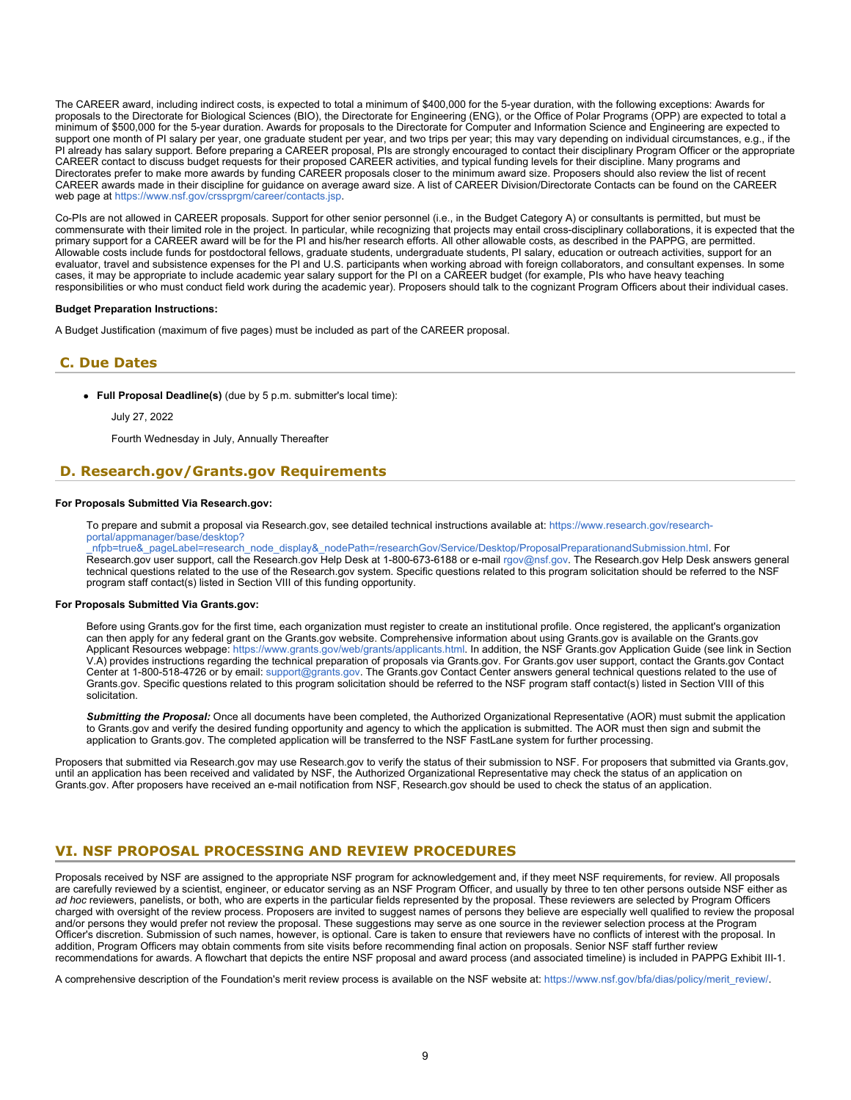The CAREER award, including indirect costs, is expected to total a minimum of \$400,000 for the 5-year duration, with the following exceptions: Awards for proposals to the Directorate for Biological Sciences (BIO), the Directorate for Engineering (ENG), or the Office of Polar Programs (OPP) are expected to total a minimum of \$500,000 for the 5-year duration. Awards for proposals to the Directorate for Computer and Information Science and Engineering are expected to support one month of PI salary per year, one graduate student per year, and two trips per year; this may vary depending on individual circumstances, e.g., if the PI already has salary support. Before preparing a CAREER proposal, PIs are strongly encouraged to contact their disciplinary Program Officer or the appropriate CAREER contact to discuss budget requests for their proposed CAREER activities, and typical funding levels for their discipline. Many programs and Directorates prefer to make more awards by funding CAREER proposals closer to the minimum award size. Proposers should also review the list of recent CAREER awards made in their discipline for guidance on average award size. A list of CAREER Division/Directorate Contacts can be found on the CAREER web page at [https://www.nsf.gov/crssprgm/career/contacts.jsp.](https://www.nsf.gov/crssprgm/career/contacts.jsp)

Co-PIs are not allowed in CAREER proposals. Support for other senior personnel (i.e., in the Budget Category A) or consultants is permitted, but must be commensurate with their limited role in the project. In particular, while recognizing that projects may entail cross-disciplinary collaborations, it is expected that the primary support for a CAREER award will be for the PI and his/her research efforts. All other allowable costs, as described in the PAPPG, are permitted. Allowable costs include funds for postdoctoral fellows, graduate students, undergraduate students, PI salary, education or outreach activities, support for an evaluator, travel and subsistence expenses for the PI and U.S. participants when working abroad with foreign collaborators, and consultant expenses. In some cases, it may be appropriate to include academic year salary support for the PI on a CAREER budget (for example, PIs who have heavy teaching responsibilities or who must conduct field work during the academic year). Proposers should talk to the cognizant Program Officers about their individual cases.

### **Budget Preparation Instructions:**

A Budget Justification (maximum of five pages) must be included as part of the CAREER proposal.

### <span id="page-8-0"></span>**C. Due Dates**

- **Full Proposal Deadline(s)** (due by 5 p.m. submitter's local time):
	- July 27, 2022

Fourth Wednesday in July, Annually Thereafter

### <span id="page-8-1"></span>**D. Research.gov/Grants.gov Requirements**

### **For Proposals Submitted Via Research.gov:**

To prepare and submit a proposal via Research.gov, see detailed technical instructions available at: [https://www.research.gov/research](https://www.research.gov/research-portal/appmanager/base/desktop?_nfpb=true&_pageLabel=research_node_display&_nodePath=/researchGov/Service/Desktop/ProposalPreparationandSubmission.html)[portal/appmanager/base/desktop?](https://www.research.gov/research-portal/appmanager/base/desktop?_nfpb=true&_pageLabel=research_node_display&_nodePath=/researchGov/Service/Desktop/ProposalPreparationandSubmission.html)

[\\_nfpb=true&\\_pageLabel=research\\_node\\_display&\\_nodePath=/researchGov/Service/Desktop/ProposalPreparationandSubmission.html](https://www.research.gov/research-portal/appmanager/base/desktop?_nfpb=true&_pageLabel=research_node_display&_nodePath=/researchGov/Service/Desktop/ProposalPreparationandSubmission.html). For Research.gov user support, call the Research.gov Help Desk at 1-800-673-6188 or e-mail [rgov@nsf.gov](mailto:rgov@nsf.gov). The Research.gov Help Desk answers general technical questions related to the use of the Research.gov system. Specific questions related to this program solicitation should be referred to the NSF program staff contact(s) listed in Section VIII of this funding opportunity.

### **For Proposals Submitted Via Grants.gov:**

Before using Grants.gov for the first time, each organization must register to create an institutional profile. Once registered, the applicant's organization can then apply for any federal grant on the Grants.gov website. Comprehensive information about using Grants.gov is available on the Grants.gov Applicant Resources webpage:<https://www.grants.gov/web/grants/applicants.html>. In addition, the NSF Grants.gov Application Guide (see link in Section V.A) provides instructions regarding the technical preparation of proposals via Grants.gov. For Grants.gov user support, contact the Grants.gov Contact Center at 1-800-518-4726 or by email: [support@grants.gov](mailto:support@grants.gov). The Grants.gov Contact Center answers general technical questions related to the use of Grants.gov. Specific questions related to this program solicitation should be referred to the NSF program staff contact(s) listed in Section VIII of this solicitation.

*Submitting the Proposal:* Once all documents have been completed, the Authorized Organizational Representative (AOR) must submit the application to Grants.gov and verify the desired funding opportunity and agency to which the application is submitted. The AOR must then sign and submit the application to Grants.gov. The completed application will be transferred to the NSF FastLane system for further processing.

Proposers that submitted via Research.gov may use Research.gov to verify the status of their submission to NSF. For proposers that submitted via Grants.gov, until an application has been received and validated by NSF, the Authorized Organizational Representative may check the status of an application on Grants.gov. After proposers have received an e-mail notification from NSF, Research.gov should be used to check the status of an application.

## <span id="page-8-2"></span>**VI. NSF PROPOSAL PROCESSING AND REVIEW PROCEDURES**

Proposals received by NSF are assigned to the appropriate NSF program for acknowledgement and, if they meet NSF requirements, for review. All proposals are carefully reviewed by a scientist, engineer, or educator serving as an NSF Program Officer, and usually by three to ten other persons outside NSF either as *ad hoc* reviewers, panelists, or both, who are experts in the particular fields represented by the proposal. These reviewers are selected by Program Officers charged with oversight of the review process. Proposers are invited to suggest names of persons they believe are especially well qualified to review the proposal and/or persons they would prefer not review the proposal. These suggestions may serve as one source in the reviewer selection process at the Program Officer's discretion. Submission of such names, however, is optional. Care is taken to ensure that reviewers have no conflicts of interest with the proposal. In addition, Program Officers may obtain comments from site visits before recommending final action on proposals. Senior NSF staff further review recommendations for awards. A flowchart that depicts the entire NSF proposal and award process (and associated timeline) is included in PAPPG Exhibit III-1.

A comprehensive description of the Foundation's merit review process is available on the NSF website at: [https://www.nsf.gov/bfa/dias/policy/merit\\_review/](https://www.nsf.gov/bfa/dias/policy/merit_review/).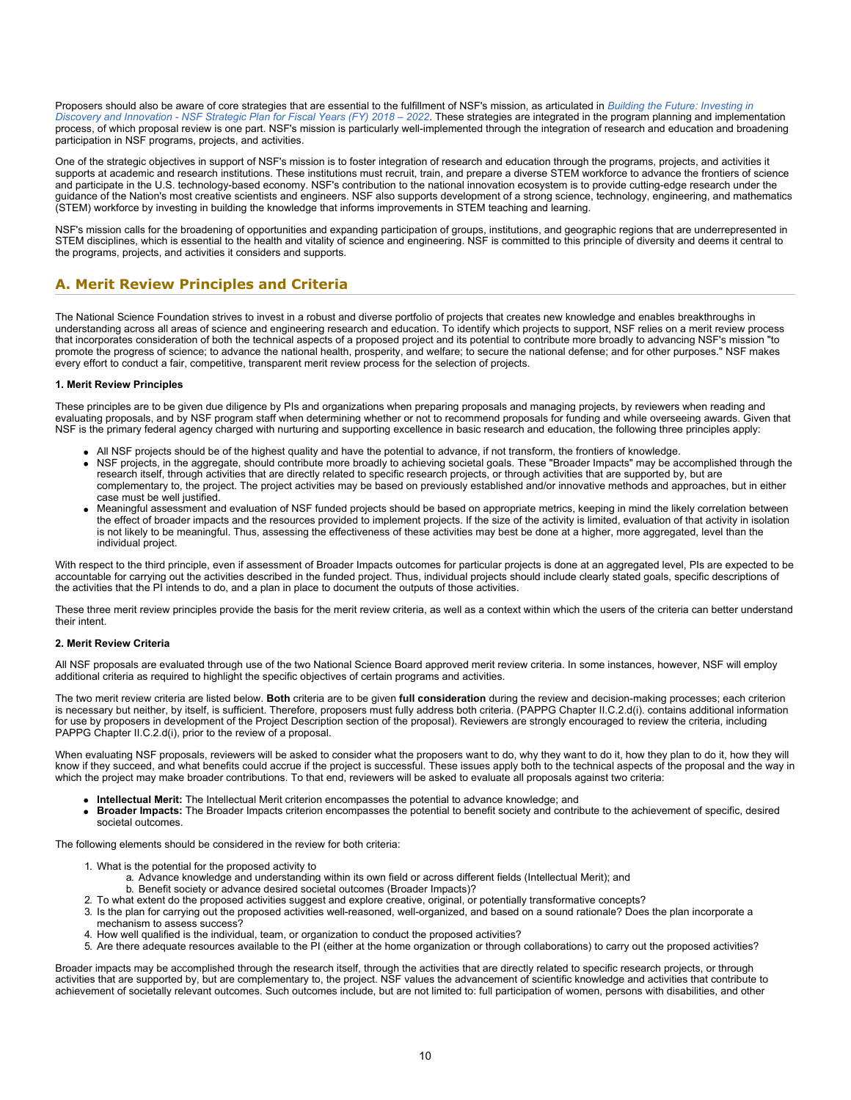Proposers should also be aware of core strategies that are essential to the fulfillment of NSF's mission, as articulated in *[Building the Future: Investing in](https://www.nsf.gov/publications/pub_summ.jsp?ods_key=nsf18045) [Discovery and Innovation - NSF Strategic Plan for Fiscal Years \(FY\) 2018 – 2022](https://www.nsf.gov/publications/pub_summ.jsp?ods_key=nsf18045)*. These strategies are integrated in the program planning and implementation process, of which proposal review is one part. NSF's mission is particularly well-implemented through the integration of research and education and broadening participation in NSF programs, projects, and activities.

One of the strategic objectives in support of NSF's mission is to foster integration of research and education through the programs, projects, and activities it supports at academic and research institutions. These institutions must recruit, train, and prepare a diverse STEM workforce to advance the frontiers of science and participate in the U.S. technology-based economy. NSF's contribution to the national innovation ecosystem is to provide cutting-edge research under the guidance of the Nation's most creative scientists and engineers. NSF also supports development of a strong science, technology, engineering, and mathematics (STEM) workforce by investing in building the knowledge that informs improvements in STEM teaching and learning.

NSF's mission calls for the broadening of opportunities and expanding participation of groups, institutions, and geographic regions that are underrepresented in STEM disciplines, which is essential to the health and vitality of science and engineering. NSF is committed to this principle of diversity and deems it central to the programs, projects, and activities it considers and supports.

## <span id="page-9-0"></span>**A. Merit Review Principles and Criteria**

The National Science Foundation strives to invest in a robust and diverse portfolio of projects that creates new knowledge and enables breakthroughs in understanding across all areas of science and engineering research and education. To identify which projects to support, NSF relies on a merit review process that incorporates consideration of both the technical aspects of a proposed project and its potential to contribute more broadly to advancing NSF's mission "to promote the progress of science; to advance the national health, prosperity, and welfare; to secure the national defense; and for other purposes." NSF makes every effort to conduct a fair, competitive, transparent merit review process for the selection of projects.

### **1. Merit Review Principles**

These principles are to be given due diligence by PIs and organizations when preparing proposals and managing projects, by reviewers when reading and evaluating proposals, and by NSF program staff when determining whether or not to recommend proposals for funding and while overseeing awards. Given that NSF is the primary federal agency charged with nurturing and supporting excellence in basic research and education, the following three principles apply:

- All NSF projects should be of the highest quality and have the potential to advance, if not transform, the frontiers of knowledge.
- NSF projects, in the aggregate, should contribute more broadly to achieving societal goals. These "Broader Impacts" may be accomplished through the research itself, through activities that are directly related to specific research projects, or through activities that are supported by, but are complementary to, the project. The project activities may be based on previously established and/or innovative methods and approaches, but in either case must be well justified.
- Meaningful assessment and evaluation of NSF funded projects should be based on appropriate metrics, keeping in mind the likely correlation between the effect of broader impacts and the resources provided to implement projects. If the size of the activity is limited, evaluation of that activity in isolation is not likely to be meaningful. Thus, assessing the effectiveness of these activities may best be done at a higher, more aggregated, level than the individual project.

With respect to the third principle, even if assessment of Broader Impacts outcomes for particular projects is done at an aggregated level, PIs are expected to be accountable for carrying out the activities described in the funded project. Thus, individual projects should include clearly stated goals, specific descriptions of the activities that the PI intends to do, and a plan in place to document the outputs of those activities.

These three merit review principles provide the basis for the merit review criteria, as well as a context within which the users of the criteria can better understand their intent.

#### **2. Merit Review Criteria**

All NSF proposals are evaluated through use of the two National Science Board approved merit review criteria. In some instances, however, NSF will employ additional criteria as required to highlight the specific objectives of certain programs and activities.

The two merit review criteria are listed below. **Both** criteria are to be given **full consideration** during the review and decision-making processes; each criterion is necessary but neither, by itself, is sufficient. Therefore, proposers must fully address both criteria. (PAPPG Chapter II.C.2.d(i). contains additional information for use by proposers in development of the Project Description section of the proposal). Reviewers are strongly encouraged to review the criteria, including PAPPG Chapter II.C.2.d(i), prior to the review of a proposal.

When evaluating NSF proposals, reviewers will be asked to consider what the proposers want to do, why they want to do it, how they plan to do it, how they will know if they succeed, and what benefits could accrue if the project is successful. These issues apply both to the technical aspects of the proposal and the way in which the project may make broader contributions. To that end, reviewers will be asked to evaluate all proposals against two criteria:

- **Intellectual Merit:** The Intellectual Merit criterion encompasses the potential to advance knowledge; and
- **Broader Impacts:** The Broader Impacts criterion encompasses the potential to benefit society and contribute to the achievement of specific, desired societal outcomes.

The following elements should be considered in the review for both criteria:

- 1. What is the potential for the proposed activity to
- a. Advance knowledge and understanding within its own field or across different fields (Intellectual Merit); and
- b. Benefit society or advance desired societal outcomes (Broader Impacts)?
- 2. To what extent do the proposed activities suggest and explore creative, original, or potentially transformative concepts?
- 3. Is the plan for carrying out the proposed activities well-reasoned, well-organized, and based on a sound rationale? Does the plan incorporate a mechanism to assess success?
- 4. How well qualified is the individual, team, or organization to conduct the proposed activities?
- 5. Are there adequate resources available to the PI (either at the home organization or through collaborations) to carry out the proposed activities?

Broader impacts may be accomplished through the research itself, through the activities that are directly related to specific research projects, or through activities that are supported by, but are complementary to, the project. NSF values the advancement of scientific knowledge and activities that contribute to achievement of societally relevant outcomes. Such outcomes include, but are not limited to: full participation of women, persons with disabilities, and other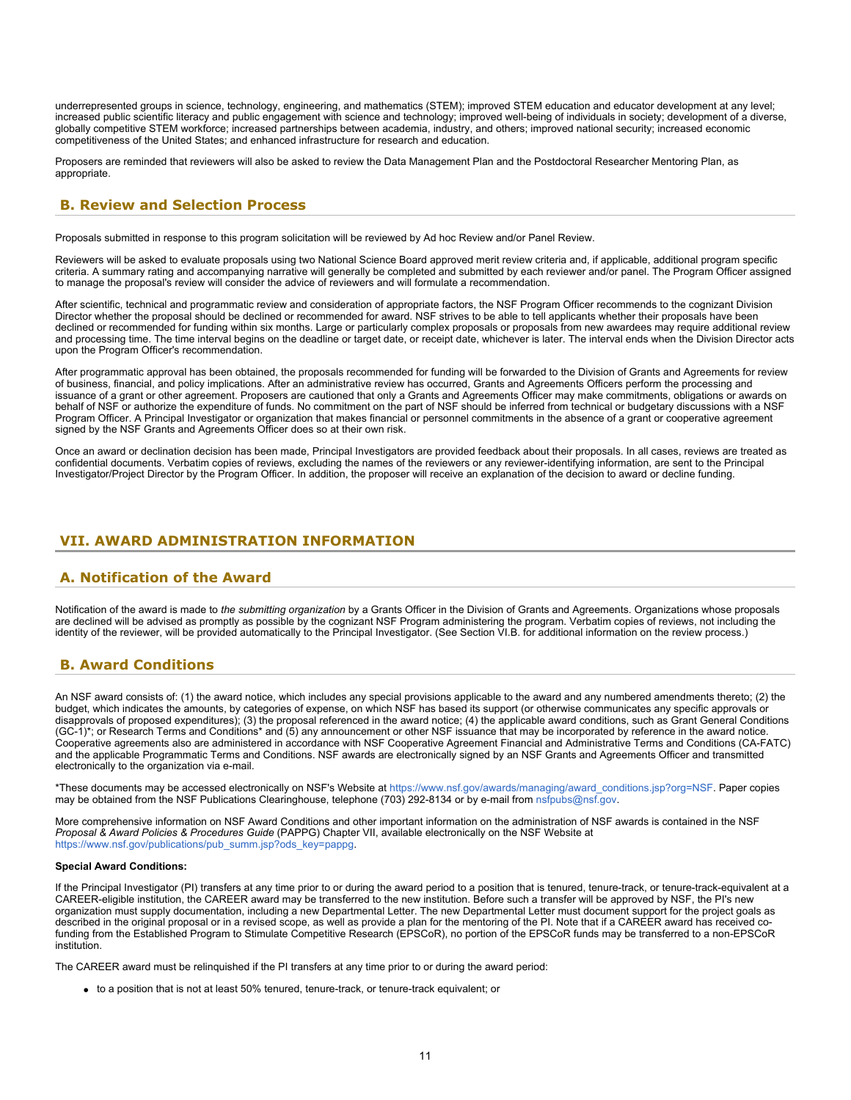underrepresented groups in science, technology, engineering, and mathematics (STEM); improved STEM education and educator development at any level; increased public scientific literacy and public engagement with science and technology; improved well-being of individuals in society; development of a diverse, globally competitive STEM workforce; increased partnerships between academia, industry, and others; improved national security; increased economic competitiveness of the United States; and enhanced infrastructure for research and education.

Proposers are reminded that reviewers will also be asked to review the Data Management Plan and the Postdoctoral Researcher Mentoring Plan, as appropriate.

## <span id="page-10-0"></span>**B. Review and Selection Process**

Proposals submitted in response to this program solicitation will be reviewed by Ad hoc Review and/or Panel Review.

Reviewers will be asked to evaluate proposals using two National Science Board approved merit review criteria and, if applicable, additional program specific criteria. A summary rating and accompanying narrative will generally be completed and submitted by each reviewer and/or panel. The Program Officer assigned to manage the proposal's review will consider the advice of reviewers and will formulate a recommendation.

After scientific, technical and programmatic review and consideration of appropriate factors, the NSF Program Officer recommends to the cognizant Division Director whether the proposal should be declined or recommended for award. NSF strives to be able to tell applicants whether their proposals have been declined or recommended for funding within six months. Large or particularly complex proposals or proposals from new awardees may require additional review and processing time. The time interval begins on the deadline or target date, or receipt date, whichever is later. The interval ends when the Division Director acts upon the Program Officer's recommendation.

After programmatic approval has been obtained, the proposals recommended for funding will be forwarded to the Division of Grants and Agreements for review of business, financial, and policy implications. After an administrative review has occurred, Grants and Agreements Officers perform the processing and issuance of a grant or other agreement. Proposers are cautioned that only a Grants and Agreements Officer may make commitments, obligations or awards on behalf of NSF or authorize the expenditure of funds. No commitment on the part of NSF should be inferred from technical or budgetary discussions with a NSF Program Officer. A Principal Investigator or organization that makes financial or personnel commitments in the absence of a grant or cooperative agreement signed by the NSF Grants and Agreements Officer does so at their own risk.

Once an award or declination decision has been made, Principal Investigators are provided feedback about their proposals. In all cases, reviews are treated as confidential documents. Verbatim copies of reviews, excluding the names of the reviewers or any reviewer-identifying information, are sent to the Principal Investigator/Project Director by the Program Officer. In addition, the proposer will receive an explanation of the decision to award or decline funding.

## <span id="page-10-1"></span>**VII. AWARD ADMINISTRATION INFORMATION**

## <span id="page-10-2"></span>**A. Notification of the Award**

Notification of the award is made to *the submitting organization* by a Grants Officer in the Division of Grants and Agreements. Organizations whose proposals are declined will be advised as promptly as possible by the cognizant NSF Program administering the program. Verbatim copies of reviews, not including the identity of the reviewer, will be provided automatically to the Principal Investigator. (See Section VI.B. for additional information on the review process.)

## <span id="page-10-3"></span>**B. Award Conditions**

An NSF award consists of: (1) the award notice, which includes any special provisions applicable to the award and any numbered amendments thereto; (2) the budget, which indicates the amounts, by categories of expense, on which NSF has based its support (or otherwise communicates any specific approvals or disapprovals of proposed expenditures); (3) the proposal referenced in the award notice; (4) the applicable award conditions, such as Grant General Conditions (GC-1)\*; or Research Terms and Conditions\* and (5) any announcement or other NSF issuance that may be incorporated by reference in the award notice. Cooperative agreements also are administered in accordance with NSF Cooperative Agreement Financial and Administrative Terms and Conditions (CA-FATC) and the applicable Programmatic Terms and Conditions. NSF awards are electronically signed by an NSF Grants and Agreements Officer and transmitted electronically to the organization via e-mail.

\*These documents may be accessed electronically on NSF's Website at [https://www.nsf.gov/awards/managing/award\\_conditions.jsp?org=NSF](https://www.nsf.gov/awards/managing/award_conditions.jsp?org=NSF). Paper copies may be obtained from the NSF Publications Clearinghouse, telephone (703) 292-8134 or by e-mail from [nsfpubs@nsf.gov.](mailto:nsfpubs@nsf.gov)

More comprehensive information on NSF Award Conditions and other important information on the administration of NSF awards is contained in the NSF *Proposal & Award Policies & Procedures Guide* (PAPPG) Chapter VII, available electronically on the NSF Website at [https://www.nsf.gov/publications/pub\\_summ.jsp?ods\\_key=pappg.](https://www.nsf.gov/publications/pub_summ.jsp?ods_key=pappg)

### **Special Award Conditions:**

If the Principal Investigator (PI) transfers at any time prior to or during the award period to a position that is tenured, tenure-track, or tenure-track-equivalent at a CAREER-eligible institution, the CAREER award may be transferred to the new institution. Before such a transfer will be approved by NSF, the PI's new organization must supply documentation, including a new Departmental Letter. The new Departmental Letter must document support for the project goals as described in the original proposal or in a revised scope, as well as provide a plan for the mentoring of the PI. Note that if a CAREER award has received cofunding from the Established Program to Stimulate Competitive Research (EPSCoR), no portion of the EPSCoR funds may be transferred to a non-EPSCoR institution.

The CAREER award must be relinquished if the PI transfers at any time prior to or during the award period:

• to a position that is not at least 50% tenured, tenure-track, or tenure-track equivalent; or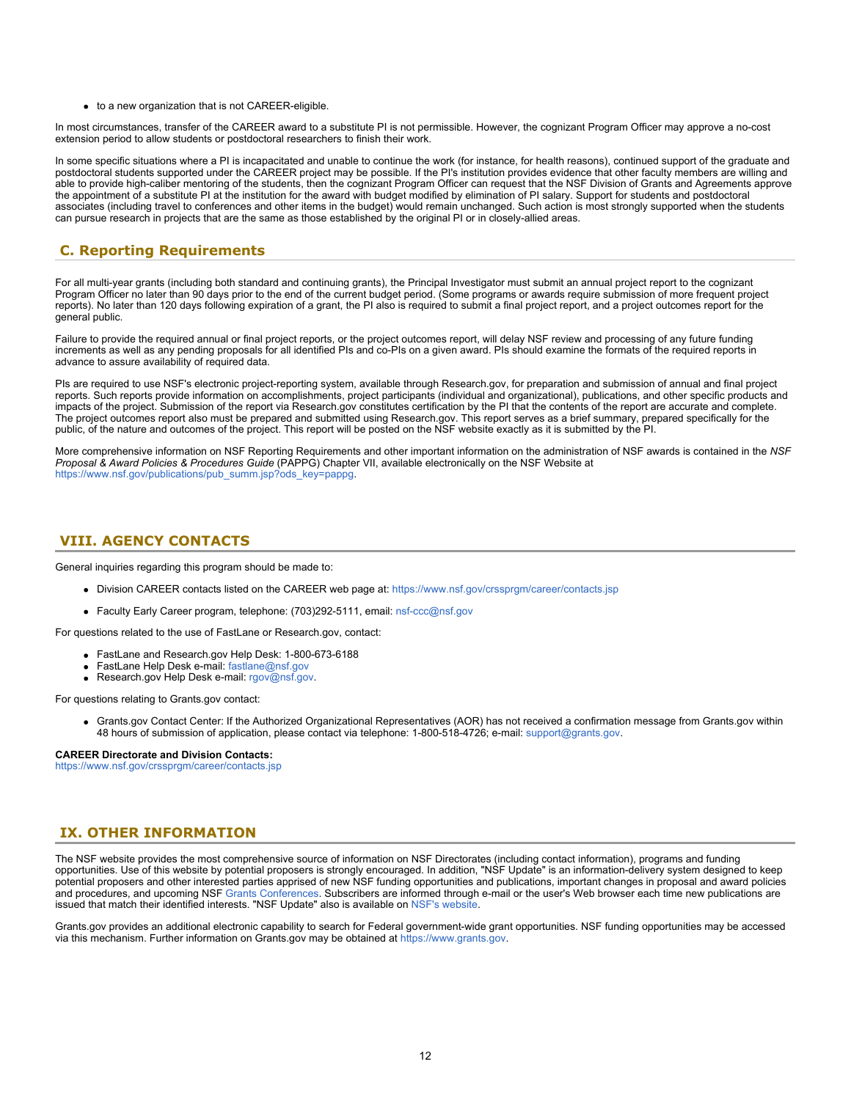to a new organization that is not CAREER-eligible.

In most circumstances, transfer of the CAREER award to a substitute PI is not permissible. However, the cognizant Program Officer may approve a no-cost extension period to allow students or postdoctoral researchers to finish their work.

In some specific situations where a PI is incapacitated and unable to continue the work (for instance, for health reasons), continued support of the graduate and postdoctoral students supported under the CAREER project may be possible. If the PI's institution provides evidence that other faculty members are willing and able to provide high-caliber mentoring of the students, then the cognizant Program Officer can request that the NSF Division of Grants and Agreements approve the appointment of a substitute PI at the institution for the award with budget modified by elimination of PI salary. Support for students and postdoctoral associates (including travel to conferences and other items in the budget) would remain unchanged. Such action is most strongly supported when the students can pursue research in projects that are the same as those established by the original PI or in closely-allied areas.

## <span id="page-11-0"></span>**C. Reporting Requirements**

For all multi-year grants (including both standard and continuing grants), the Principal Investigator must submit an annual project report to the cognizant Program Officer no later than 90 days prior to the end of the current budget period. (Some programs or awards require submission of more frequent project reports). No later than 120 days following expiration of a grant, the PI also is required to submit a final project report, and a project outcomes report for the general public.

Failure to provide the required annual or final project reports, or the project outcomes report, will delay NSF review and processing of any future funding increments as well as any pending proposals for all identified PIs and co-PIs on a given award. PIs should examine the formats of the required reports in advance to assure availability of required data.

PIs are required to use NSF's electronic project-reporting system, available through Research.gov, for preparation and submission of annual and final project reports. Such reports provide information on accomplishments, project participants (individual and organizational), publications, and other specific products and impacts of the project. Submission of the report via Research.gov constitutes certification by the PI that the contents of the report are accurate and complete. The project outcomes report also must be prepared and submitted using Research.gov. This report serves as a brief summary, prepared specifically for the public, of the nature and outcomes of the project. This report will be posted on the NSF website exactly as it is submitted by the PI.

More comprehensive information on NSF Reporting Requirements and other important information on the administration of NSF awards is contained in the *NSF Proposal & Award Policies & Procedures Guide* (PAPPG) Chapter VII, available electronically on the NSF Website at [https://www.nsf.gov/publications/pub\\_summ.jsp?ods\\_key=pappg.](https://www.nsf.gov/publications/pub_summ.jsp?ods_key=pappg)

## <span id="page-11-1"></span>**VIII. AGENCY CONTACTS**

General inquiries regarding this program should be made to:

- Division CAREER contacts listed on the CAREER web page at:<https://www.nsf.gov/crssprgm/career/contacts.jsp>
- Faculty Early Career program, telephone: (703)292-5111, email: [nsf-ccc@nsf.gov](mailto:nsf-ccc@nsf.gov)

For questions related to the use of FastLane or Research.gov, contact:

- FastLane and Research.gov Help Desk: 1-800-673-6188
- FastLane Help Desk e-mail: [fastlane@nsf.gov](mailto:fastlane@nsf.gov)
- Research.gov Help Desk e-mail: [rgov@nsf.gov](mailto:rgov@nsf.gov).

For questions relating to Grants.gov contact:

Grants.gov Contact Center: If the Authorized Organizational Representatives (AOR) has not received a confirmation message from Grants.gov within 48 hours of submission of application, please contact via telephone: 1-800-518-4726; e-mail: [support@grants.gov](mailto:support@grants.gov).

### **CAREER Directorate and Division Contacts:**

<https://www.nsf.gov/crssprgm/career/contacts.jsp>

## <span id="page-11-2"></span>**IX. OTHER INFORMATION**

The NSF website provides the most comprehensive source of information on NSF Directorates (including contact information), programs and funding opportunities. Use of this website by potential proposers is strongly encouraged. In addition, "NSF Update" is an information-delivery system designed to keep potential proposers and other interested parties apprised of new NSF funding opportunities and publications, important changes in proposal and award policies and procedures, and upcoming NSF [Grants Conferences](https://www.nsf.gov/bfa/dias/policy/outreach.jsp). Subscribers are informed through e-mail or the user's Web browser each time new publications are issued that match their identified interests. "NSF Update" also is available on [NSF's website](https://www.nsf.gov/cgi-bin/goodbye?https://public.govdelivery.com/accounts/USNSF/subscriber/new?topic_id=USNSF_179).

Grants.gov provides an additional electronic capability to search for Federal government-wide grant opportunities. NSF funding opportunities may be accessed via this mechanism. Further information on Grants.gov may be obtained at [https://www.grants.gov](https://www.grants.gov/).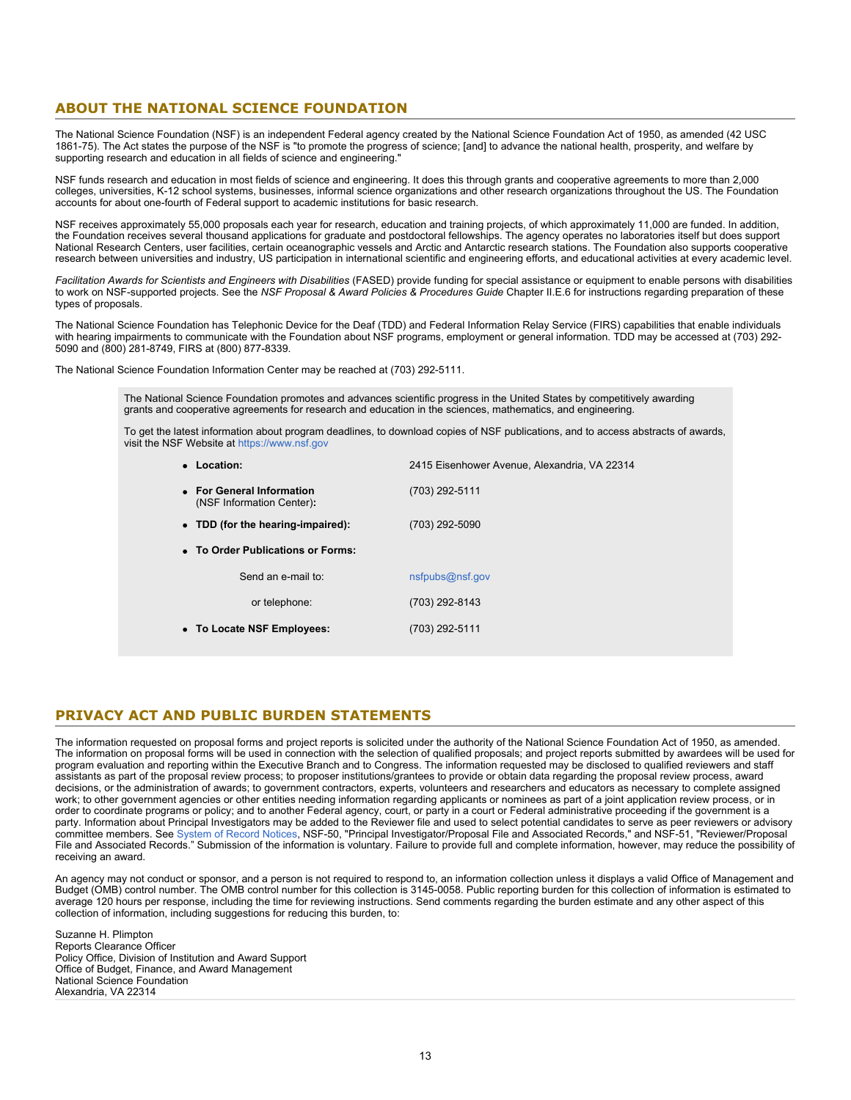## **ABOUT THE NATIONAL SCIENCE FOUNDATION**

The National Science Foundation (NSF) is an independent Federal agency created by the National Science Foundation Act of 1950, as amended (42 USC 1861-75). The Act states the purpose of the NSF is "to promote the progress of science; [and] to advance the national health, prosperity, and welfare by supporting research and education in all fields of science and engineering."

NSF funds research and education in most fields of science and engineering. It does this through grants and cooperative agreements to more than 2,000 colleges, universities, K-12 school systems, businesses, informal science organizations and other research organizations throughout the US. The Foundation accounts for about one-fourth of Federal support to academic institutions for basic research.

NSF receives approximately 55,000 proposals each year for research, education and training projects, of which approximately 11,000 are funded. In addition, the Foundation receives several thousand applications for graduate and postdoctoral fellowships. The agency operates no laboratories itself but does support National Research Centers, user facilities, certain oceanographic vessels and Arctic and Antarctic research stations. The Foundation also supports cooperative research between universities and industry, US participation in international scientific and engineering efforts, and educational activities at every academic level.

*Facilitation Awards for Scientists and Engineers with Disabilities* (FASED) provide funding for special assistance or equipment to enable persons with disabilities to work on NSF-supported projects. See the *NSF Proposal & Award Policies & Procedures Guide* Chapter II.E.6 for instructions regarding preparation of these types of proposals.

The National Science Foundation has Telephonic Device for the Deaf (TDD) and Federal Information Relay Service (FIRS) capabilities that enable individuals with hearing impairments to communicate with the Foundation about NSF programs, employment or general information. TDD may be accessed at (703) 292- 5090 and (800) 281-8749, FIRS at (800) 877-8339.

The National Science Foundation Information Center may be reached at (703) 292-5111.

The National Science Foundation promotes and advances scientific progress in the United States by competitively awarding grants and cooperative agreements for research and education in the sciences, mathematics, and engineering. To get the latest information about program deadlines, to download copies of NSF publications, and to access abstracts of awards, visit the NSF Website at [https://www.nsf.gov](https://www.nsf.gov/) **Location:** 2415 Eisenhower Avenue, Alexandria, VA 22314 **For General Information** (NSF Information Center)**:** (703) 292-5111 **TDD (for the hearing-impaired):** (703) 292-5090 **To Order Publications or Forms:** Send an e-mail to: [nsfpubs@nsf.gov](mailto:nsfpubs@nsf.gov) or telephone: (703) 292-8143 **To Locate NSF Employees:** (703) 292-5111

## **PRIVACY ACT AND PUBLIC BURDEN STATEMENTS**

The information requested on proposal forms and project reports is solicited under the authority of the National Science Foundation Act of 1950, as amended. The information on proposal forms will be used in connection with the selection of qualified proposals; and project reports submitted by awardees will be used for program evaluation and reporting within the Executive Branch and to Congress. The information requested may be disclosed to qualified reviewers and staff assistants as part of the proposal review process; to proposer institutions/grantees to provide or obtain data regarding the proposal review process, award decisions, or the administration of awards; to government contractors, experts, volunteers and researchers and educators as necessary to complete assigned work; to other government agencies or other entities needing information regarding applicants or nominees as part of a joint application review process, or in order to coordinate programs or policy; and to another Federal agency, court, or party in a court or Federal administrative proceeding if the government is a party. Information about Principal Investigators may be added to the Reviewer file and used to select potential candidates to serve as peer reviewers or advisory committee members. See [System of Record Notices](https://www.nsf.gov/privacy/), NSF-50, "Principal Investigator/Proposal File and Associated Records," and NSF-51, "Reviewer/Proposal File and Associated Records." Submission of the information is voluntary. Failure to provide full and complete information, however, may reduce the possibility of receiving an award.

An agency may not conduct or sponsor, and a person is not required to respond to, an information collection unless it displays a valid Office of Management and Budget (OMB) control number. The OMB control number for this collection is 3145-0058. Public reporting burden for this collection of information is estimated to average 120 hours per response, including the time for reviewing instructions. Send comments regarding the burden estimate and any other aspect of this collection of information, including suggestions for reducing this burden, to:

Suzanne H. Plimpton Reports Clearance Officer Policy Office, Division of Institution and Award Support Office of Budget, Finance, and Award Management National Science Foundation Alexandria, VA 22314